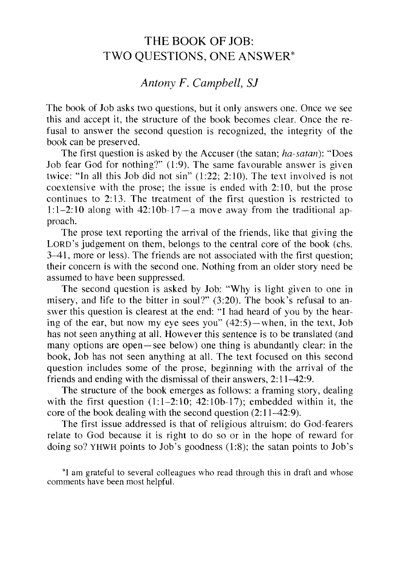## THE BOOK OF JOB: TWO QUESTIONS, ONE ANSWER\*

## *Antony F. Campbell,* S1

The book of Job asks two questions, but it only answers one. Once we see this and accept it, the structure of the book becomes clear. Once the refusal to answer the second question is recognized, the integrity of the book can be preserved.

The first question is asked by the Accuser (the satan; *ha-satan):* "Does Job fear God for nothing?" (1:9). The same favourable answer is given twice: "In all this Job did not sin"  $(1:22; 2:10)$ . The text involved is not coextensive with the prose; the issue is ended with  $2:10$ , but the prose continues to 2: 13. The treatment of the first question is restricted to 1:1-2:10 along with  $42:10b-17-a$  move away from the traditional approach.

The prose text reporting the arrival of the friends, like that giving the LORD's judgement on them, belongs to the central core of the book (chs. 3-41, more or less). The friends are not associated with the first question; their concern is with the second one. Nothing from an older story need be assumed to have been suppressed.

The second question is asked by Job: "Why is light given to one in misery, and life to the bitter in soul?" (3:20). The book's refusal to answer this question is clearest at the end: "I had heard of you by the hearing of the ear, but now my eye sees you"  $(42:5)$ —when, in the text, Job has not seen anything at all. However this sentence is to be translated (and many options are open-see below) one thing is abundantly clear: in the book, Job has not seen anything at all. The text focused on this second question includes some of the prose, beginning with the arrival of the friends and ending with the dismissal of their answers, 2: 11-42:9.

The structure of the book emerges as follows: a framing story, dealing with the first question  $(1:1-2:10; 42:10b-17)$ ; embedded within it, the core of the book dealing with the second question  $(2:11-42:9)$ .

The first issue addressed is that of religious altruism; do God-fearers relate to God because it is right to do so or in the hope of reward for doing so? YHWH points to Job's goodness  $(1.8)$ ; the satan points to Job's

\*I am grateful to several colleagues who read through this in draft and whose comments have been most helpful.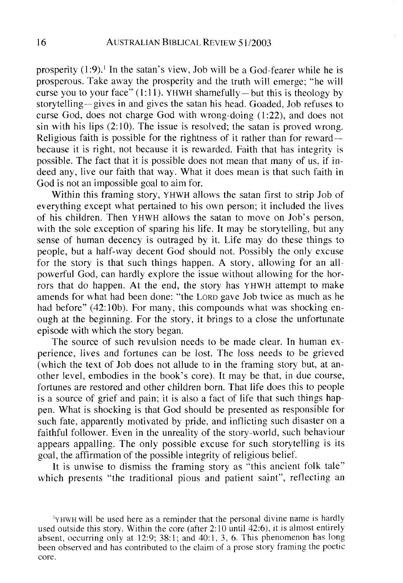prosperity  $(1:9)$ .<sup>1</sup> In the satan's view, Job will be a God-fearer while he is prosperous. Take away the prosperity and the truth will emerge; "he will curse you to your face"  $(1:11)$ . YHWH shamefully — but this is theology by story telling- gives in and gives the satan his head. Goaded, Job refuses to curse God, does not charge God with wrong-doing (1 :22), and does not sin with his lips  $(2:10)$ . The issue is resolved; the satan is proved wrong. Religious faith is possible for the rightness of it rather than for rewardbecause it is right, not because it is rewarded. Faith that has integrity is possible. The fact that it is possible does not mean that many of us, if indeed any, live our faith that way. What it does mean is that such faith in God is not an impossible goal to aim for.

Within this framing story, YHWH allows the satan first to strip Job of everything except what pertained to his own person; it included the lives of his children. Then YHWH allows the satan to move on Job's person, with the sole exception of sparing his life. It may be storytelling, but any sense of human decency is outraged by it. Life may do these things to people, but a half-way decent God should not. Possibly the only excuse for the story is that such things happen. A story, allowing for an allpowerful God, can hardly explore the issue without allowing for the horrors that do happen. At the end, the story has YHWH attempt to make amends for what had been done: "the LORD gave Job twice as much as he had before" (42:10b). For many, this compounds what was shocking enough at the beginning. For the story, it brings to a close the unfortunate episode with which the story began.

The source of such revulsion needs to be made clear. In human experience, lives and fortunes can be lost. The loss needs to be grieved (which the text of Job does not allude to in the framing story but, at another level, embodies in the book's core). It may be that, in due course, fortunes are restored and other children born. That life does this to people is a source of grief and pain; it is also a fact of life that such things happen. What is shocking is that God should be presented as responsible for such fate, apparently motivated by pride, and inflicting such disaster on a faithful follower. Even in the unreality of the story-world, such behaviour appears appalling. The only possible excuse for such storytelling is its goal, the affirmation of the possible integrity of religious belief.

It is unwise to dismiss the framing story as "this ancient folk tale" which presents "the traditional pious and patient saint", reflecting an

lYHWH will be used here as a reminder that the personal divine name is hardly used outside this story. Within the core (after 2: 10 until 42:6), it is almost entirely absent, occurring only at 12:9; 38:1; and 40:1, 3, 6. This phenomenon has long been observed and has contributed to the claim of a prose story framing the poetic core.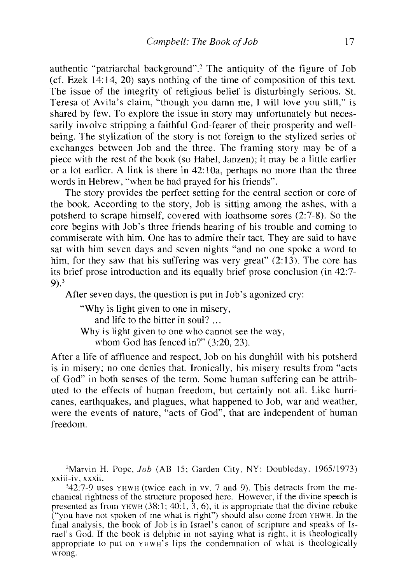authentic "patriarchal background".2 The antiquity of the figure of Job (cf. Ezek 14:14,20) says nothing of the time of composition of this text. The issue of the integrity of religious belief is disturbingly serious. St. Teresa of Avila's claim, "though you damn me, I will love you still," is shared by few. To explore the issue in story may unfortunately but necessarily involve stripping a faithful God-fearer of their prosperity and wellbeing. The stylization of the story is not foreign to the stylized series of exchanges between Job and the three. The framing story may be of a piece with the rest of the book (so Habel, Janzen); it may be a little earlier or a lot earlier. A link is there in 42: lOa, perhaps no more than the three words in Hebrew, "when he had prayed for his friends".

The story provides the perfect setting for the central section or core of the book. According to the story, Job is sitting among the ashes, with a potsherd to scrape himself, covered with loathsome sores (2:7-8). So the core begins with Job's three friends hearing of his trouble and coming to commiserate with him. One has to admire their tact. They are said to have sat with him seven days and seven nights "and no one spoke a word to him, for they saw that his suffering was very great"  $(2.13)$ . The core has its brief prose introduction and its equally brief prose conclusion (in 42:7- 9).3

After seven days, the question is put in Job's agonized cry:

"Why is light given to one in misery, and life to the bitter in soul? ... Why is light given to one who cannot see the way. whom God has fenced in?" (3:20, 23).

After a life of affluence and respect, Job on his dunghill with his potsherd is in misery; no one denies that. Ironically, his misery results from "acts of God" in both senses of the term. Some human suffering can be attributed to the effects of human freedom, but certainly not all. Like hurricanes, earthquakes, and plagues, what happened to Job, war and weather, were the events of nature, "acts of God", that are independent of human freedom.

<sup>2</sup>Marvin H. Pope, *Job* (AB 15; Garden City, NY: Doubleday, 1965/1973) xxiii-iv, xxxii.

342:7-9 uses YHWH (twice each in vv. 7 and 9). This detracts from the mechanical rightness of the structure proposed here. However, if the divine speech is presented as from YHWH  $(38.1; 40.1, 3, 6)$ , it is appropriate that the divine rebuke ("you have not spoken of me what is right") should also come from YHWH. In the final analysis, the book of Job is in Israel's canon of scripture and speaks of Israel's God. If the book is delphic in not saying what is right, it is theologically appropriate to put on YHWH'S lips the condemnation of what is theologically wrong.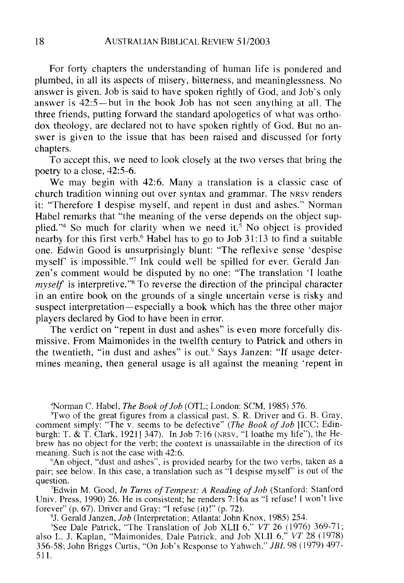For forty chapters the understanding of human life is pondered and plumbed, in all its aspects of misery, bitterness, and meaninglessness. No answer is given. Job is said to have spoken rightly of God, and Job's only answer is 42:5- but in the book Job has not seen anything at all. The three friends, putting forward the standard apologetics of what was orthodox theology, are declared not to have spoken rightly of God. But no answer is given to the issue that has been raised and discussed for forty chapters.

To accept this, we need to look closely at the two verses that bring the poetry to a close, 42:5-6.

We may begin with 42:6. Many a translation is a classic case of church tradition winning out over syntax and grammar. The NRSV renders it: "Therefore I despise myself, and repent in dust and ashes." Norman Habel remarks that "the meaning of the verse depends on the object supplied."<sup>4</sup> So much for clarity when we need it.<sup>5</sup> No object is provided nearby for this first verb.<sup>6</sup> Habel has to go to Job  $31:13$  to find a suitable one. Edwin Good is unsurprisingly blunt: "The reflexive sense 'despise myself' is impossible. "7 **Ink** could well be spilled for ever. Gerald Janzen's comment would be disputed by no one: "The translation 'I loathe *myself* is interpretive."<sup>8</sup> To reverse the direction of the principal character in an entire book on the grounds of a single uncertain verse is risky and suspect interpretation—especially a book which has the three other major players declared by God to have been in error.

The verdict on "repent in dust and ashes" is even more forcefully dismissive. From Maimonides in the twelfth century to Patrick and others in the twentieth, "in dust and ashes" is out.<sup>9</sup> Says Janzen: "If usage determines meaning, then general usage is all against the meaning 'repent in

4Norman C. Habel, *The Book of Job* (OTL; London: SCM, 1985) 576.

"Two of the great figures from a classical past, S. R. Driver and G. B. Gray, comment simply: "The v. seems to be defective" *(The Book of Job* [ICC; Edinburgh: T. & T. Clark, 1921] 347). In Job 7:16 (NRSV, "I loathe my life"), the Hebrew has no object for the verb; the context is unassailable in the direction of its meaning. Such is not the case with 42:6.

<sup>6</sup>An object, "dust and ashes", is provided nearby for the two verbs, taken as a pair; see below. In this case, a translation such as "I despise myself" is out of the question.

7Edwin M. Good, *In Turns of Tempest: A Reading of Job* (Stanford: Stanford Univ. Press, 1990) 26. He is consistent; he renders  $7:16a$  as "I refuse! I won't live forever" (p. 67). Driver and Gray: "I refuse (it)!" (p. 72).

8J. Gerald Janzen, *Job* (Interpretation; Atlanta: John Knox, 1985) 254.

9See Dale Patrick, "The Translation of Job XLII 6," *VT* 26 (1976) 369-71; also L. J. Kaplan, "Maimonides, Dale Patrick, and Job XLII 6," *VT* 28 (1978) 356-58; John Briggs Curtis, "On Job's Response to Yahweh," *JBL* 98 (1979) 497- 511.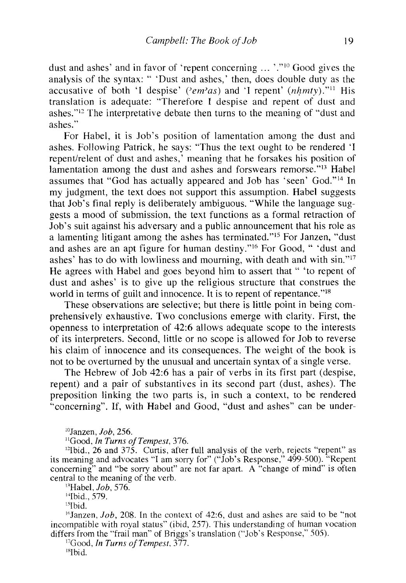dust and ashes' and in favor of 'repent concerning ... '."10 Good gives the analysis of the syntax: " 'Dust and ashes,' then, does double duty as the accusative of both 'I despise' ( $\langle e_m \rangle$ as) and 'I repent' ( $nhmty$ )."<sup>11</sup> His translation is adequate: "Therefore I despise and repent of dust and ashes."12 The interpretative debate then turns to the meaning of "dust and ashes."

For Habel, it is Job's position of lamentation among the dust and ashes. Following Patrick, he says: 'Thus the text ought to be rendered 'I repent/relent of dust and ashes,' meaning that he forsakes his position of lamentation among the dust and ashes and forswears remorse."<sup>13</sup> Habel assumes that "God has actually appeared and Job has 'seen' God."14 In my judgment, the text does not support this assumption. Habel suggests that Job's final reply is deliberately ambiguous. "While the language suggests a mood of submission, the text functions as a formal retraction of Job's suit against his adversary and a public announcement that his role as a lamenting litigant among the ashes has terminated."15 For Janzen, "dust and ashes are an apt figure for human destiny."16 For Good, " 'dust and ashes' has to do with lowliness and mourning, with death and with sin."17 He agrees with Habel and goes beyond him to assert that " 'to repent of dust and ashes' is to give up the religious structure that construes the world in terms of guilt and innocence. It is to repent of repentance."<sup>18</sup>

These observations are selective; but there is little point in being comprehensively exhaustive. Two conclusions emerge with clarity. First, the openness to interpretation of 42:6 allows adequate scope to the interests of its interpreters. Second, little or no scope is allowed for Job to reverse his claim of innocence and its consequences. The weight of the book is not to be overturned by the unusual and uncertain syntax of a single verse.

The Hebrew of Job 42:6 has a pair of verbs in its first part (despise, repent) and a pair of substantives in its second part (dust, ashes). The preposition linking the two parts is, in such a context, to be rendered "concerning". If, with Habel and Good, "dust and ashes" can be under-

IOJanzen, *Job, 256.* 

<sup>11</sup>Good, *In Turns of Tempest*, 376.

12Ibid., 26 and 375. Curtis, after full analysis of the verb, rejects "repent" as its meaning and advocates "I am sorry for" ("Job's Response," 499-500). "Repent concerning" and "be sorry about" are not far apart. A "change of mind" is often central to the meaning of the verb.

I3Habel, *Job, 576.* 

14Ibid., 579.

 $15$ Ibid.

 $16$ Janzen, *Job*, 208. In the context of 42:6, dust and ashes are said to be "not incompatible with royal status" (ibid, 257). This understanding of human vocation differs from the "frail man" of Briggs's translation ("Job's Response," 505).

<sup>17</sup>Good, *In Turns of Tempest*, 377.

<sup>18</sup>Ibid.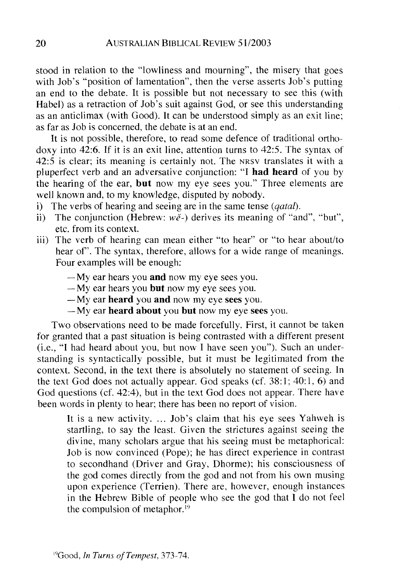stood in relation to the "lowliness and mourning", the misery that goes with Job's "position of lamentation", then the verse asserts Job's putting an end to the debate. It is possible but not necessary to see this (with Habel) as a retraction of Job's suit against God, or see this understanding as an anticlimax (with Good). **It** can be understood simply as an exit line; as far as Job is concerned, the debate is at an end.

It is not possible, therefore, to read some defence of traditional orthodoxy into 42:6. If it is an exit line, attention turns to 42:5. The syntax of 42:5 is clear; its meaning is certainly not. The NRSV translates it with a pluperfect verb and an adversative conjunction: "I **had heard** of you by the hearing of the ear, **but** now my eye sees you." Three elements are well known and, to my knowledge, disputed by nobody.

- i) The verbs of hearing and seeing are in the same tense *(qatal).*
- ii) The conjunction (Hebrew:  $w\check{e}$ -) derives its meaning of "and", "but", etc. from its context.
- iii) The verb of hearing can mean either "to hear" or "to hear about/to hear of'. The syntax, therefore, allows for a wide range of meanings. Four examples will be enough:
	- My ear hears you **and** now my eye sees you.
	- My ear hears you **but** now my eye sees you.
	- -My ear **heard** you **and** now my eye sees you.
	- My ear **heard about** you **but** now my eye sees you.

Two observations need to be made forcefully. First, it cannot be taken for granted that a past situation is being contrasted with a different present (i.e., "I had heard about you, but now I have seen you"). Such an understanding is syntactically possible, but it must be legitimated from the context. Second, in the text there is absolutely no statement of seeing. In the text God does not actually appear. God speaks (cf. 38:1; 40:1, 6) and God questions (cf. 42:4), but in the text God does not appear. There have been words in plenty to hear; there has been no report of vision.

It is a new activity. ... Job's claim that his eye sees Yahweh is startling, to say the least. Given the strictures against seeing the divine, many scholars argue that his seeing must be metaphorical: Job is now convinced (Pope); he has direct experience in contrast to secondhand (Driver and Gray, Dhorme); his consciousness of the god comes directly from the god and not from his own musing upon experience (Terrien). There are, however, enough instances in the Hebrew Bible of people who see the god that I do not feel the compulsion of metaphor. 19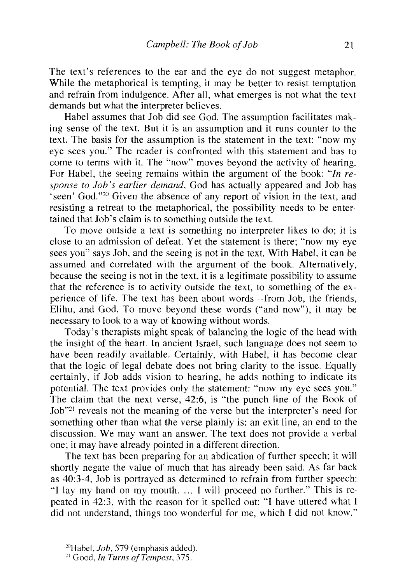The text's references to the ear and the eye do not suggest metaphor. While the metaphorical is tempting, it may be better to resist temptation and refrain from indulgence. After all, what emerges is not what the text demands but what the interpreter believes.

Habel assumes that Job did see God. The assumption facilitates making sense of the text. But it is an assumption and it runs counter to the text. The basis for the assumption is the statement in the text: "now my eye sees you." The reader is confronted with this statement and has to come to terms with it. The "now" moves beyond the activity of hearing. For Habel, the seeing remains within the argument of the book: *"In response to Job's earlier demand,* God has actually appeared and Job has 'seen' God."20 Given the absence of any report of vision in the text, and resisting a retreat to the metaphorical, the possibility needs to be entertained that Job's claim is to something outside the text.

To move outside a text is something no interpreter likes to do; it is close to an admission of defeat. Yet the statement is there; "now my eye sees you" says Job, and the seeing is not in the text. With Habel, it can be assumed and correlated with the argument of the book. Alternatively, because the seeing is not in the text, it is a legitimate possibility to assume that the reference is to activity outside the text, to something of the experience of life. The text has been about words-from Job, the friends, Elihu, and God. To move beyond these words ("and now"), it may be necessary to look to a way of knowing without words.

Today's therapists might speak of balancing the logic of the head with the insight of the heart. In ancient Israel, such language does not seem to have been readily available. Certainly, with Habel, it has become clear that the logic of legal debate does not bring clarity to the issue. Equally certainly, if Job adds vision to hearing, he adds nothing to indicate its potential. The text provides only the statement: "now my eye sees you." The claim that the next verse, 42:6, is "the punch line of the Book of Job"<sup>21</sup> reveals not the meaning of the verse but the interpreter's need for something other than what the verse plainly is: an exit line, an end to the discussion. We may want an answer. The text does not provide a verbal one; it may have already pointed in a different direction.

The text has been preparing for an abdication of further speech; it will shortly negate the value of much that has already been said. As far back as 40:3-4, Job is portrayed as determined to refrain from further speech: "I lay my hand on my mouth .... I will proceed no further." This is repeated in 42:3, with the reason for it spelled out: "I have uttered what I did not understand, things too wonderful for me, which I did not know."

<sup>2°</sup>Habel, *Job,* 579 (emphasis added).

<sup>21</sup> Good, *In Turns ojTempest, 375.*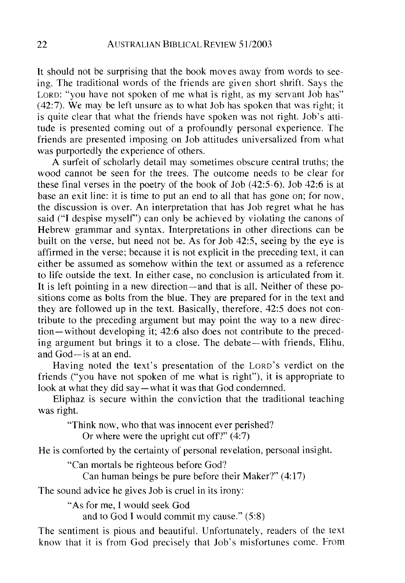It should not be surprising that the book moves away from words to seeing. The traditional words of the friends are given short shrift. Says the LORD: "you have not spoken of me what is right, as my servant Job has"  $(42:7)$ . We may be left unsure as to what Job has spoken that was right; it is quite clear that what the friends have spoken was not right. Job's attitude is presented coming out of a profoundly personal experience. The friends are presented imposing on Job attitudes universalized from what was purportedly the experience of others.

A surfeit of scholarly detail may sometimes obscure central truths; the wood cannot be seen for the trees. The outcome needs to be clear for these final verses in the poetry of the book of Job (42:5-6). Job 42:6 is at base an exit line: it is time to put an end to all that has gone on; for now, the discussion is over. An interpretation that has Job regret what he has said ("I despise myself') can only be achieved by violating the canons of Hebrew grammar and syntax. Interpretations in other directions can be built on the verse, but need not be. As for Job 42:5, seeing by the eye is affirmed in the verse; because it is not explicit in the preceding text, it can either be assumed as somehow within the text or assumed as a reference to life outside the text. In either case, no conclusion is articulated from it. It is left pointing in a new direction—and that is all. Neither of these positions come as bolts from the blue. They are prepared for in the text and they are followed up in the text. Basically, therefore, 42:5 does not contribute to the preceding argument but may point the way to a new direction-without developing it; 42:6 also does not contribute to the preceding argument but brings it to a close. The debate- with friends, Elihu, and  $God - is$  at an end.

Having noted the text's presentation of the LORD'S verdict on the friends ("you have not spoken of me what is right"), it is appropriate to look at what they did say—what it was that God condemned.

Eliphaz is secure within the conviction that the traditional teaching was right.

"Think now, who that was innocent ever perished?

Or where were the upright cut off?" (4:7)

He is comforted by the certainty of personal revelation, personal insight.

"Can mortals be righteous before God?

Can human beings be pure before their Maker?" (4:17)

The sound advice he gives Job is cruel in its irony:

"As for me, 1 would seek God

and to God I would commit my cause." (5:8)

The sentiment is pious and beautiful. Unfortunately, readers of the text know that it is from God precisely that Job's misfortunes come. from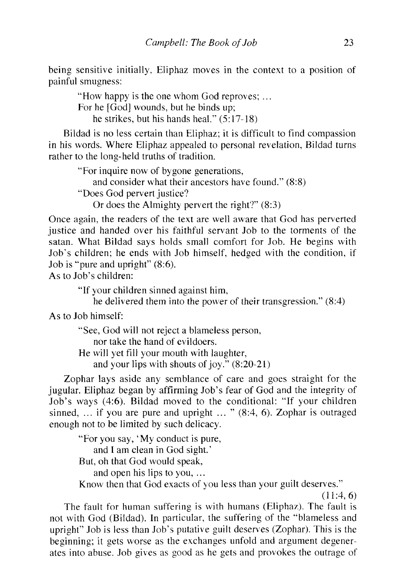being sensitive initially, Eliphaz moves in the context to a position of painful smugness:

"How happy is the one whom God reproves; ... For he [God] wounds, but he binds up; he strikes, but his hands heal." (5:17-18)

Bildad is no less certain than Eliphaz; it is difficult to find compassion in his words. Where Eliphaz appealed to personal revelation, Bildad turns rather to the long-held truths of tradition.

"For inquire now of bygone generations, and consider what their ancestors have found."  $(8:8)$ "Does God pervert justice? Or does the Almighty pervert the right?" (8:3)

Once again, the readers of the text are well aware that God has perverted justice and handed over his faithful servant Job to the torments of the satan. What Bildad says holds small comfort for Job. He begins with Job's children; he ends with Job himself, hedged with the condition, if Job is "pure and upright" (8:6).

As to Job's children:

"If your children sinned against him,

he delivered them into the power of their transgression." (8:4)

As to Job himself:

"See, God will not reject a blameless person, nor take the hand of evildoers. He will yet fill your mouth with laughter, and your lips with shouts of joy." (8:20-21)

Zophar lays aside any semblance of care and goes straight for the jugular. Eliphaz began by affirming Job's fear of God and the integrity of Job's ways (4:6). Bildad moved to the conditional: "If your children sinned, ... if you are pure and upright ... "  $(8:4, 6)$ . Zophar is outraged enough not to be limited by such delicacy.

"For you say, 'My conduct is pure, and I am clean in God sight.' But, oh that God would speak, and open his lips to you, ... Know then that God exacts of you less than your guilt deserves."

 $(11:4,6)$ 

The fault for human suffering is with humans (Eliphaz). The fault is not with God (Bildad). In particular, the suffering of the "blameless and upright" Job is less than Job's putative guilt deserves (Zophar). This is the beginning; it gets worse as the exchanges unfold and argument degenerates into abuse. Job gives as good as he gets and provokes the outrage of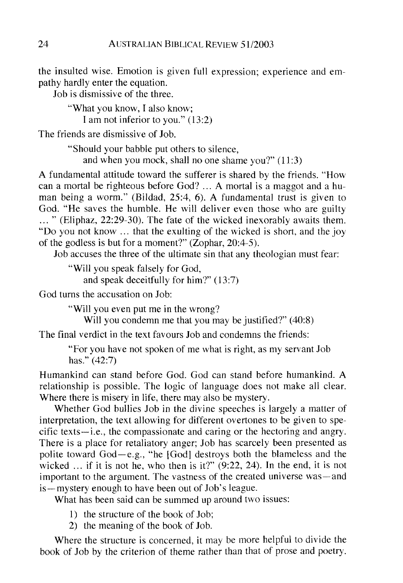the insulted wise. Emotion is given full expression; experience and empathy hardly enter the equation.

Job is dismissive of the three.

"What you know, I also know; I am not inferior to you." (13:2)

The friends are dismissive of Job.

"Should your babble put others to silence, and when you mock, shall no one shame you?"  $(11:3)$ 

A fundamental attitude toward the sufferer is shared by the friends. "How can a mortal be righteous before God? ... A mortal is a maggot and a human being a worm." (Bildad, 25:4, 6). A fundamental trust is given to God. "He saves the humble. He will deliver even those who are guilty ... " (Eliphaz, 22:29-30). The fate of the wicked inexorably awaits them. "Do you not know ... that the exulting of the wicked is short, and the joy of the godless is but for a moment?" (Zophar, 20:4-5).

Job accuses the three of the ultimate sin that any theologian must fear:

"Will you speak falsely for God, and speak deceitfully for him?" (13:7)

God turns the accusation on Job:

"Will you even put me in the wrong?

Will you condemn me that you may be justified?" (40:8)

The final verdict in the text favours Job and condemns the friends:

"For you have not spoken of me what is right, as my servant Job has." (42:7)

Humankind can stand before God. God can stand before humankind. A relationship is possible. The logic of language does not make all clear. Where there is misery in life, there may also be mystery.

Whether God bullies Job in the divine speeches is largely a matter of interpretation, the text allowing for different overtones to be given to specific texts-i.e., the compassionate and caring or the hectoring and angry. There is a place for retaliatory anger; Job has scarcely been presented as polite toward God-e.g., "he IGod] destroys both the blameless and the wicked ... if it is not he, who then is it?" (9:22, 24). **In** the end, it is not important to the argument. The vastness of the created universe was—and is-mystery enough to have been out of Job's league.

What has been said can be summed up around two issues:

- 1) the structure of the book of Job;
- 2) the meaning of the book of Job.

Where the structure is concerned, it may be more helpful to divide the book of Job by the criterion of theme rather than that of prose and poetry.